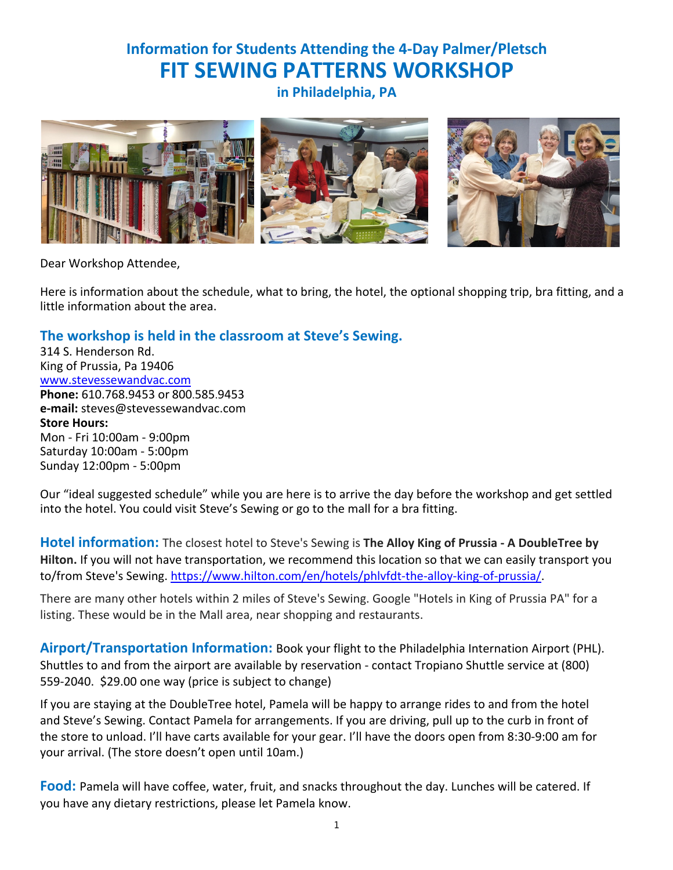## **Information for Students Attending the 4-Day Palmer/Pletsch FIT SEWING PATTERNS WORKSHOP**

**in Philadelphia, PA**



Dear Workshop Attendee,

Here is information about the schedule, what to bring, the hotel, the optional shopping trip, bra fitting, and a little information about the area.

### **The workshop is held in the classroom at Steve's Sewing.**

314 S. Henderson Rd. King of Prussia, Pa 19406 www.stevessewandvac.com **Phone:** 610.768.9453 or 800.585.9453 **e-mail:** steves@stevessewandvac.com **Store Hours:** Mon - Fri 10:00am - 9:00pm Saturday 10:00am - 5:00pm Sunday 12:00pm - 5:00pm

Our "ideal suggested schedule" while you are here is to arrive the day before the workshop and get settled into the hotel. You could visit Steve's Sewing or go to the mall for a bra fitting.

**Hotel information:** The closest hotel to Steve's Sewing is **The Alloy King of Prussia - A DoubleTree by Hilton.** If you will not have transportation, we recommend this location so that we can easily transport you to/from Steve's Sewing. https://www.hilton.com/en/hotels/phlvfdt-the-alloy-king-of-prussia/.

There are many other hotels within 2 miles of Steve's Sewing. Google "Hotels in King of Prussia PA" for a listing. These would be in the Mall area, near shopping and restaurants.

**Airport/Transportation Information:** Book your flight to the Philadelphia Internation Airport (PHL). Shuttles to and from the airport are available by reservation - contact Tropiano Shuttle service at (800) 559-2040. \$29.00 one way (price is subject to change)

If you are staying at the DoubleTree hotel, Pamela will be happy to arrange rides to and from the hotel and Steve's Sewing. Contact Pamela for arrangements. If you are driving, pull up to the curb in front of the store to unload. I'll have carts available for your gear. I'll have the doors open from 8:30-9:00 am for your arrival. (The store doesn't open until 10am.)

**Food:** Pamela will have coffee, water, fruit, and snacks throughout the day. Lunches will be catered. If you have any dietary restrictions, please let Pamela know.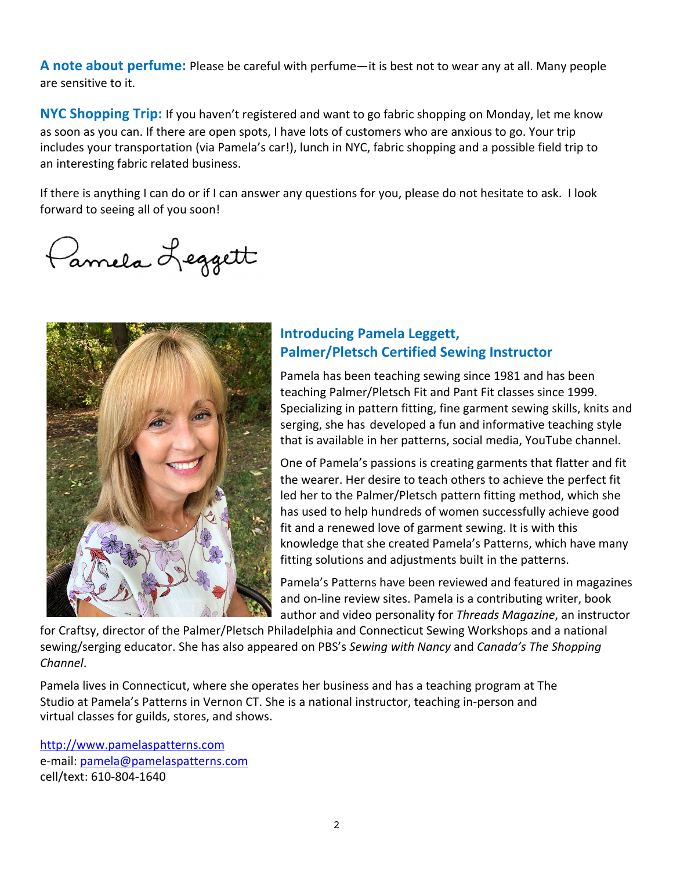**A note about perfume:** Please be careful with perfume—it is best not to wear any at all. Many people are sensitive to it.

**NYC Shopping Trip:** If you haven't registered and want to go fabric shopping on Monday, let me know as soon as you can. If there are open spots, I have lots of customers who are anxious to go. Your trip includes your transportation (via Pamela's car!), lunch in NYC, fabric shopping and a possible field trip to an interesting fabric related business.

If there is anything I can do or if I can answer any questions for you, please do not hesitate to ask. I look forward to seeing all of you soon!

Parmela Leggett



## **Introducing Pamela Leggett, Palmer/Pletsch Certified Sewing Instructor**

Pamela has been teaching sewing since 1981 and has been teaching Palmer/Pletsch Fit and Pant Fit classes since 1999. Specializing in pattern fitting, fine garment sewing skills, knits and serging, she has developed a fun and informative teaching style that is available in her patterns, social media, YouTube channel.

One of Pamela's passions is creating garments that flatter and fit the wearer. Her desire to teach others to achieve the perfect fit led her to the Palmer/Pletsch pattern fitting method, which she has used to help hundreds of women successfully achieve good fit and a renewed love of garment sewing. It is with this knowledge that she created Pamela's Patterns, which have many fitting solutions and adjustments built in the patterns.

Pamela's Patterns have been reviewed and featured in magazines and on-line review sites. Pamela is a contributing writer, book author and video personality for *Threads Magazine*, an instructor

for Craftsy, director of the Palmer/Pletsch Philadelphia and Connecticut Sewing Workshops and a national sewing/serging educator. She has also appeared on PBS's *Sewing with Nancy* and *Canada's The Shopping Channel*.

Pamela lives in Connecticut, where she operates her business and has a teaching program at The Studio at Pamela's Patterns in Vernon CT. She is a national instructor, teaching in-person and virtual classes for guilds, stores, and shows.

http://www.pamelaspatterns.com e-mail: pamela@pamelaspatterns.com cell/text: 610-804-1640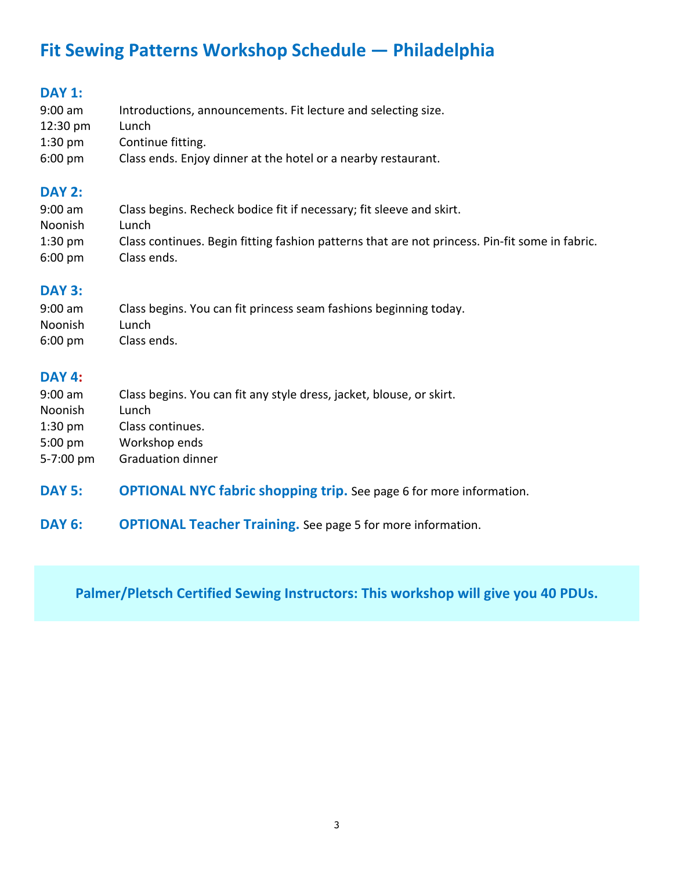# **Fit Sewing Patterns Workshop Schedule — Philadelphia**

## **DAY 1:**

| $9:00$ am          | Introductions, announcements. Fit lecture and selecting size. |
|--------------------|---------------------------------------------------------------|
| $12:30 \text{ pm}$ | Lunch                                                         |
| $1:30$ pm          | Continue fitting.                                             |
| $6:00 \text{ pm}$  | Class ends. Enjoy dinner at the hotel or a nearby restaurant. |

#### **DAY 2:**

| $9:00$ am         | Class begins. Recheck bodice fit if necessary; fit sleeve and skirt.                           |
|-------------------|------------------------------------------------------------------------------------------------|
| Noonish           | Lunch                                                                                          |
| $1:30$ pm         | Class continues. Begin fitting fashion patterns that are not princess. Pin-fit some in fabric. |
| $6:00 \text{ pm}$ | Class ends.                                                                                    |

#### **DAY 3:**

| $9:00$ am         | Class begins. You can fit princess seam fashions beginning today. |
|-------------------|-------------------------------------------------------------------|
| Noonish           | Lunch                                                             |
| $6:00 \text{ pm}$ | Class ends.                                                       |

## **DAY 4:**

| $9:00$ am         | Class begins. You can fit any style dress, jacket, blouse, or skirt. |
|-------------------|----------------------------------------------------------------------|
| <b>Noonish</b>    | Lunch                                                                |
| $1:30$ pm         | Class continues.                                                     |
| $5:00 \text{ pm}$ | Workshop ends                                                        |
| 5-7:00 pm         | <b>Graduation dinner</b>                                             |

- **DAY 5: OPTIONAL NYC fabric shopping trip.** See page 6 for more information.
- **DAY 6: OPTIONAL Teacher Training.** See page 5 for more information.

**Palmer/Pletsch Certified Sewing Instructors: This workshop will give you 40 PDUs.**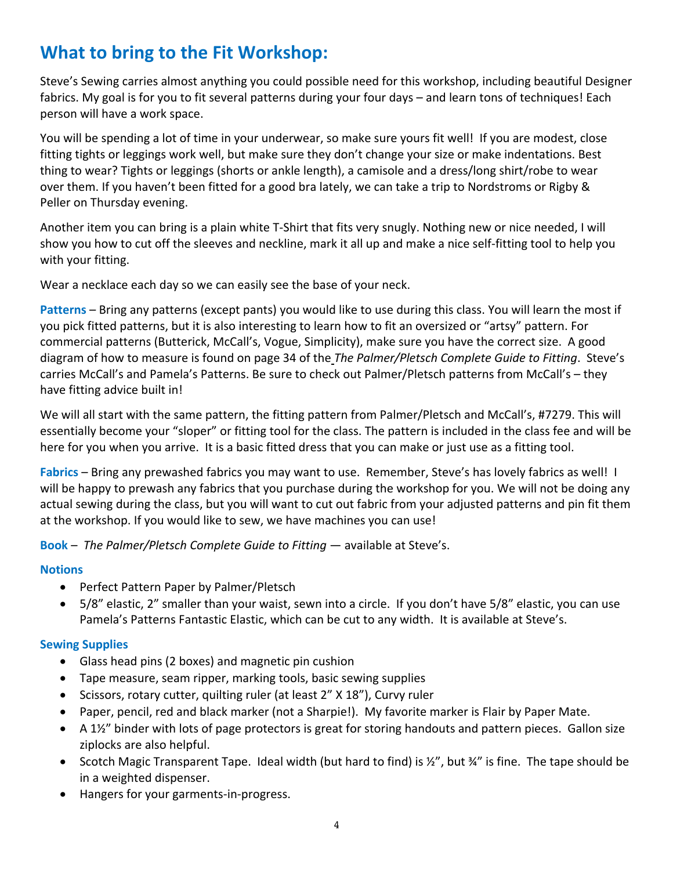# **What to bring to the Fit Workshop:**

Steve's Sewing carries almost anything you could possible need for this workshop, including beautiful Designer fabrics. My goal is for you to fit several patterns during your four days – and learn tons of techniques! Each person will have a work space.

You will be spending a lot of time in your underwear, so make sure yours fit well! If you are modest, close fitting tights or leggings work well, but make sure they don't change your size or make indentations. Best thing to wear? Tights or leggings (shorts or ankle length), a camisole and a dress/long shirt/robe to wear over them. If you haven't been fitted for a good bra lately, we can take a trip to Nordstroms or Rigby & Peller on Thursday evening.

Another item you can bring is a plain white T-Shirt that fits very snugly. Nothing new or nice needed, I will show you how to cut off the sleeves and neckline, mark it all up and make a nice self-fitting tool to help you with your fitting.

Wear a necklace each day so we can easily see the base of your neck.

**Patterns** – Bring any patterns (except pants) you would like to use during this class. You will learn the most if you pick fitted patterns, but it is also interesting to learn how to fit an oversized or "artsy" pattern. For commercial patterns (Butterick, McCall's, Vogue, Simplicity), make sure you have the correct size. A good diagram of how to measure is found on page 34 of the *The Palmer/Pletsch Complete Guide to Fitting*. Steve's carries McCall's and Pamela's Patterns. Be sure to check out Palmer/Pletsch patterns from McCall's – they have fitting advice built in!

We will all start with the same pattern, the fitting pattern from Palmer/Pletsch and McCall's, #7279. This will essentially become your "sloper" or fitting tool for the class. The pattern is included in the class fee and will be here for you when you arrive. It is a basic fitted dress that you can make or just use as a fitting tool.

**Fabrics** – Bring any prewashed fabrics you may want to use. Remember, Steve's has lovely fabrics as well! I will be happy to prewash any fabrics that you purchase during the workshop for you. We will not be doing any actual sewing during the class, but you will want to cut out fabric from your adjusted patterns and pin fit them at the workshop. If you would like to sew, we have machines you can use!

**Book** – *The Palmer/Pletsch Complete Guide to Fitting* — available at Steve's.

#### **Notions**

- Perfect Pattern Paper by Palmer/Pletsch
- 5/8" elastic, 2" smaller than your waist, sewn into a circle. If you don't have 5/8" elastic, you can use Pamela's Patterns Fantastic Elastic, which can be cut to any width. It is available at Steve's.

#### **Sewing Supplies**

- Glass head pins (2 boxes) and magnetic pin cushion
- Tape measure, seam ripper, marking tools, basic sewing supplies
- Scissors, rotary cutter, quilting ruler (at least 2" X 18"), Curvy ruler
- Paper, pencil, red and black marker (not a Sharpie!). My favorite marker is Flair by Paper Mate.
- A 1½" binder with lots of page protectors is great for storing handouts and pattern pieces. Gallon size ziplocks are also helpful.
- Scotch Magic Transparent Tape. Ideal width (but hard to find) is  $\frac{1}{2}$ , but  $\frac{3}{4}$  is fine. The tape should be in a weighted dispenser.
- Hangers for your garments-in-progress.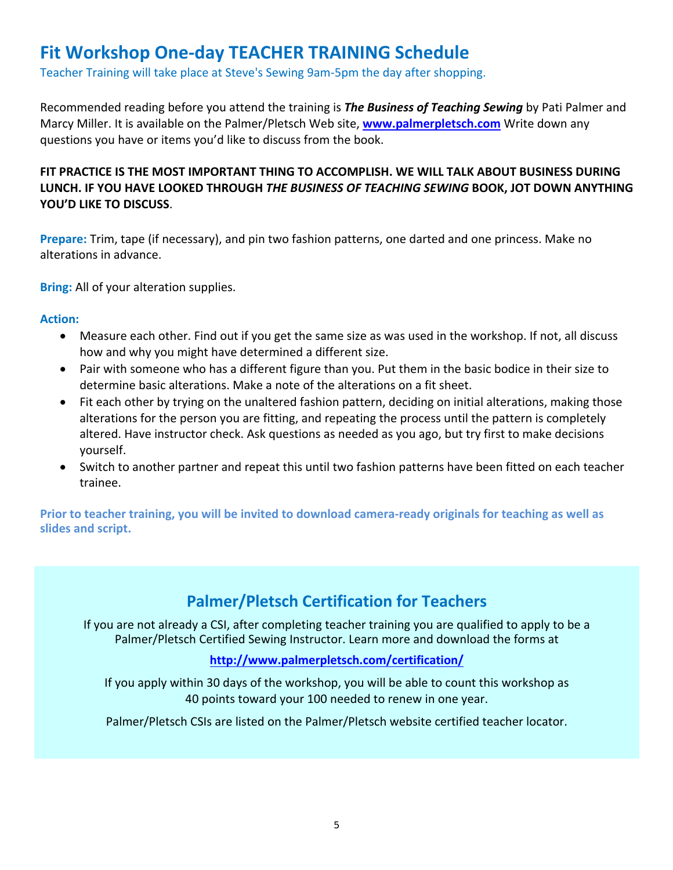## **Fit Workshop One-day TEACHER TRAINING Schedule**

Teacher Training will take place at Steve's Sewing 9am-5pm the day after shopping.

Recommended reading before you attend the training is *The Business of Teaching Sewing* by Pati Palmer and Marcy Miller. It is available on the Palmer/Pletsch Web site, **www.palmerpletsch.com** Write down any questions you have or items you'd like to discuss from the book.

#### **FIT PRACTICE IS THE MOST IMPORTANT THING TO ACCOMPLISH. WE WILL TALK ABOUT BUSINESS DURING LUNCH. IF YOU HAVE LOOKED THROUGH** *THE BUSINESS OF TEACHING SEWING* **BOOK, JOT DOWN ANYTHING YOU'D LIKE TO DISCUSS**.

**Prepare:** Trim, tape (if necessary), and pin two fashion patterns, one darted and one princess. Make no alterations in advance.

**Bring:** All of your alteration supplies.

#### **Action:**

- Measure each other. Find out if you get the same size as was used in the workshop. If not, all discuss how and why you might have determined a different size.
- Pair with someone who has a different figure than you. Put them in the basic bodice in their size to determine basic alterations. Make a note of the alterations on a fit sheet.
- Fit each other by trying on the unaltered fashion pattern, deciding on initial alterations, making those alterations for the person you are fitting, and repeating the process until the pattern is completely altered. Have instructor check. Ask questions as needed as you ago, but try first to make decisions yourself.
- Switch to another partner and repeat this until two fashion patterns have been fitted on each teacher trainee.

**Prior to teacher training, you will be invited to download camera-ready originals for teaching as well as slides and script.**

## **Palmer/Pletsch Certification for Teachers**

If you are not already a CSI, after completing teacher training you are qualified to apply to be a Palmer/Pletsch Certified Sewing Instructor. Learn more and download the forms at

#### **http://www.palmerpletsch.com/certification/**

If you apply within 30 days of the workshop, you will be able to count this workshop as 40 points toward your 100 needed to renew in one year.

Palmer/Pletsch CSIs are listed on the Palmer/Pletsch website certified teacher locator.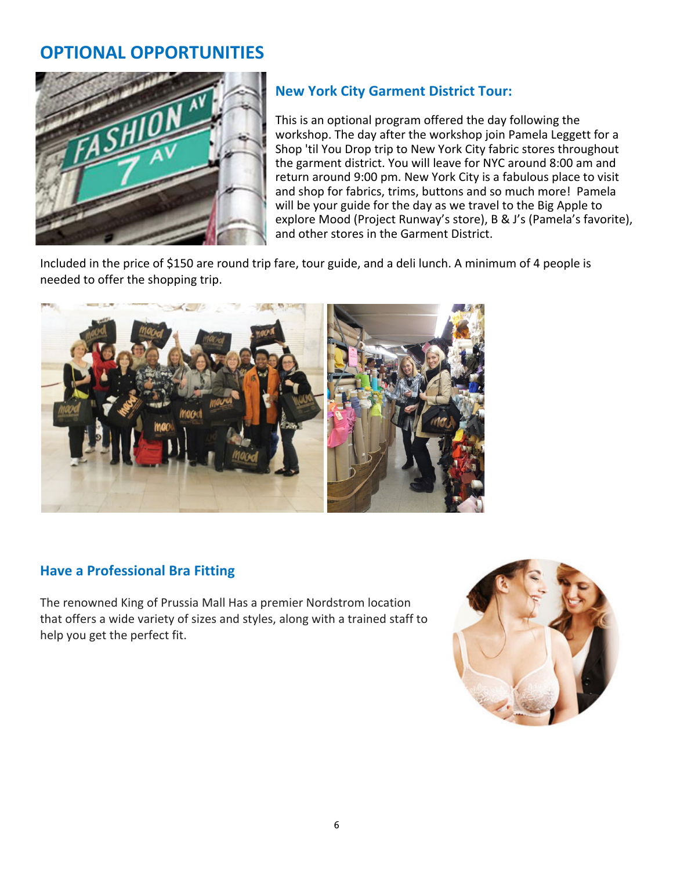## **OPTIONAL OPPORTUNITIES**



## **New York City Garment District Tour:**

This is an optional program offered the day following the workshop. The day after the workshop join Pamela Leggett for a Shop 'til You Drop trip to New York City fabric stores throughout the garment district. You will leave for NYC around 8:00 am and return around 9:00 pm. New York City is a fabulous place to visit and shop for fabrics, trims, buttons and so much more! Pamela will be your guide for the day as we travel to the Big Apple to explore Mood (Project Runway's store), B & J's (Pamela's favorite), and other stores in the Garment District.

Included in the price of \$150 are round trip fare, tour guide, and a deli lunch. A minimum of 4 people is needed to offer the shopping trip.



### **Have a Professional Bra Fitting**

The renowned King of Prussia Mall Has a premier Nordstrom location that offers a wide variety of sizes and styles, along with a trained staff to help you get the perfect fit.